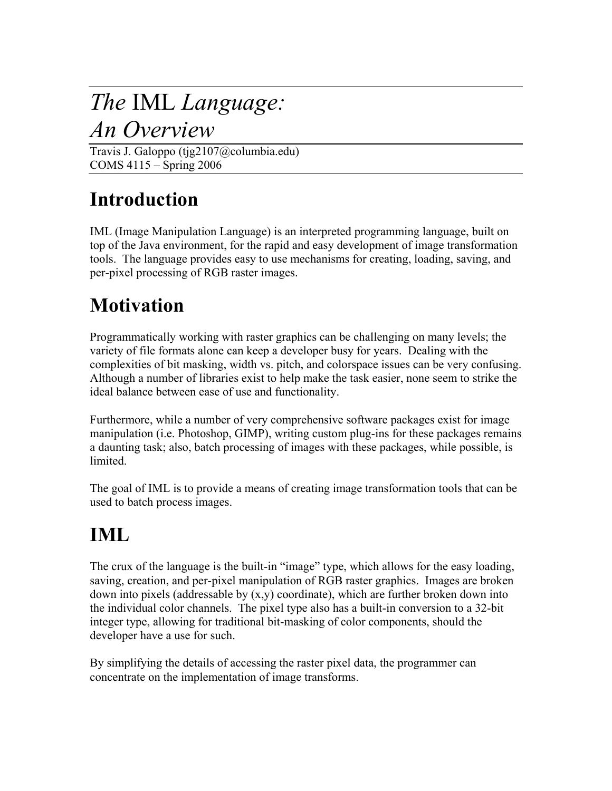# The IML Language:

## An Overview

Travis J. Galoppo (tjg2107@columbia.edu) COMS 4115 – Spring 2006

## Introduction

IML (Image Manipulation Language) is an interpreted programming language, built on top of the Java environment, for the rapid and easy development of image transformation tools. The language provides easy to use mechanisms for creating, loading, saving, and per-pixel processing of RGB raster images.

## **Motivation**

Programmatically working with raster graphics can be challenging on many levels; the variety of file formats alone can keep a developer busy for years. Dealing with the complexities of bit masking, width vs. pitch, and colorspace issues can be very confusing. Although a number of libraries exist to help make the task easier, none seem to strike the ideal balance between ease of use and functionality.

Furthermore, while a number of very comprehensive software packages exist for image manipulation (i.e. Photoshop, GIMP), writing custom plug-ins for these packages remains a daunting task; also, batch processing of images with these packages, while possible, is limited.

The goal of IML is to provide a means of creating image transformation tools that can be used to batch process images.

# IML

The crux of the language is the built-in "image" type, which allows for the easy loading, saving, creation, and per-pixel manipulation of RGB raster graphics. Images are broken down into pixels (addressable by  $(x,y)$  coordinate), which are further broken down into the individual color channels. The pixel type also has a built-in conversion to a 32-bit integer type, allowing for traditional bit-masking of color components, should the developer have a use for such.

By simplifying the details of accessing the raster pixel data, the programmer can concentrate on the implementation of image transforms.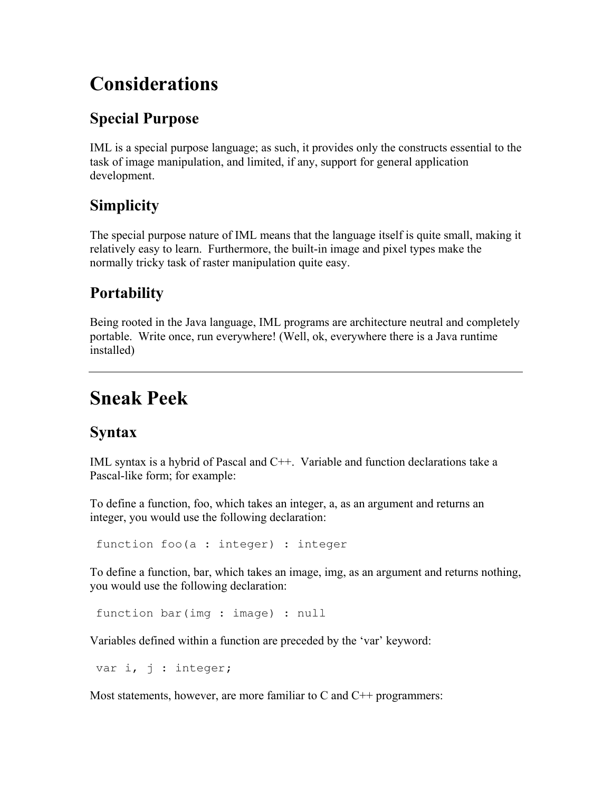## Considerations

#### Special Purpose

IML is a special purpose language; as such, it provides only the constructs essential to the task of image manipulation, and limited, if any, support for general application development.

#### **Simplicity**

The special purpose nature of IML means that the language itself is quite small, making it relatively easy to learn. Furthermore, the built-in image and pixel types make the normally tricky task of raster manipulation quite easy.

#### **Portability**

Being rooted in the Java language, IML programs are architecture neutral and completely portable. Write once, run everywhere! (Well, ok, everywhere there is a Java runtime installed)

## Sneak Peek

#### Syntax

IML syntax is a hybrid of Pascal and C++. Variable and function declarations take a Pascal-like form; for example:

To define a function, foo, which takes an integer, a, as an argument and returns an integer, you would use the following declaration:

function foo(a : integer) : integer

To define a function, bar, which takes an image, img, as an argument and returns nothing, you would use the following declaration:

function bar(img : image) : null

Variables defined within a function are preceded by the 'var' keyword:

var i, j : integer;

Most statements, however, are more familiar to  $C$  and  $C^{++}$  programmers: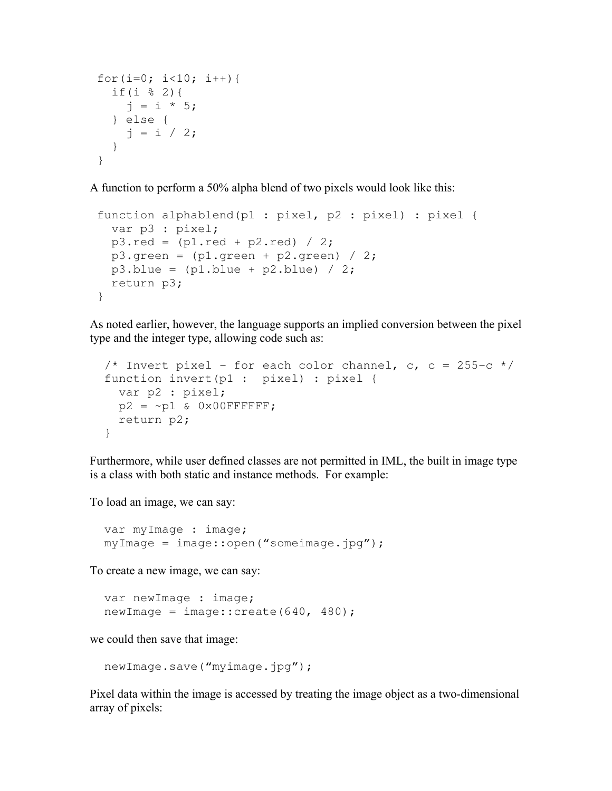```
for(i=0; i<10; i++){
   if(i % 2){ 
    j = i * 5; } else { 
   j = i / 2; } 
 }
```
A function to perform a 50% alpha blend of two pixels would look like this:

```
 function alphablend(p1 : pixel, p2 : pixel) : pixel { 
   var p3 : pixel; 
  p3.read = (p1.read + p2.read) / 2;p3.green = (p1.green + p2.green) / 2;
  p3.blue = (p1.blue + p2.blue) / 2; return p3; 
 }
```
As noted earlier, however, the language supports an implied conversion between the pixel type and the integer type, allowing code such as:

```
/* Invert pixel - for each color channel, c, c = 255-c */
 function invert(p1 : pixel) : pixel { 
  var p2 : pixel; 
 p2 = \sim p1 & 0x00FFFFFF;
   return p2; 
 }
```
Furthermore, while user defined classes are not permitted in IML, the built in image type is a class with both static and instance methods. For example:

To load an image, we can say:

 var myImage : image; myImage = image::open("someimage.jpg");

To create a new image, we can say:

```
 var newImage : image; 
newImage = image::create(640, 480);
```
we could then save that image:

```
 newImage.save("myimage.jpg");
```
Pixel data within the image is accessed by treating the image object as a two-dimensional array of pixels: